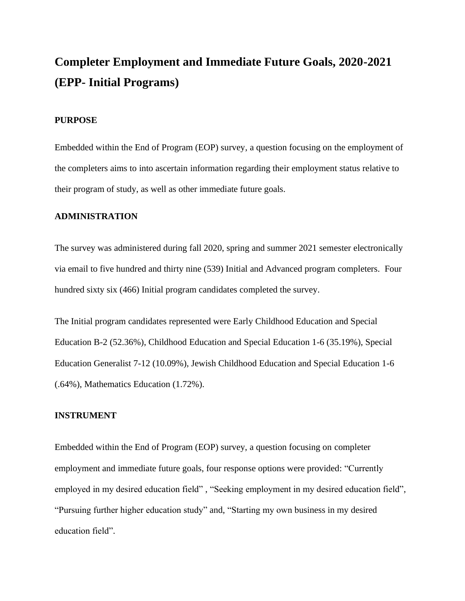# **Completer Employment and Immediate Future Goals, 2020-2021 (EPP- Initial Programs)**

#### **PURPOSE**

Embedded within the End of Program (EOP) survey, a question focusing on the employment of the completers aims to into ascertain information regarding their employment status relative to their program of study, as well as other immediate future goals.

### **ADMINISTRATION**

The survey was administered during fall 2020, spring and summer 2021 semester electronically via email to five hundred and thirty nine (539) Initial and Advanced program completers. Four hundred sixty six (466) Initial program candidates completed the survey.

The Initial program candidates represented were Early Childhood Education and Special Education B-2 (52.36%), Childhood Education and Special Education 1-6 (35.19%), Special Education Generalist 7-12 (10.09%), Jewish Childhood Education and Special Education 1-6 (.64%), Mathematics Education (1.72%).

#### **INSTRUMENT**

Embedded within the End of Program (EOP) survey, a question focusing on completer employment and immediate future goals, four response options were provided: "Currently employed in my desired education field" , "Seeking employment in my desired education field", "Pursuing further higher education study" and, "Starting my own business in my desired education field".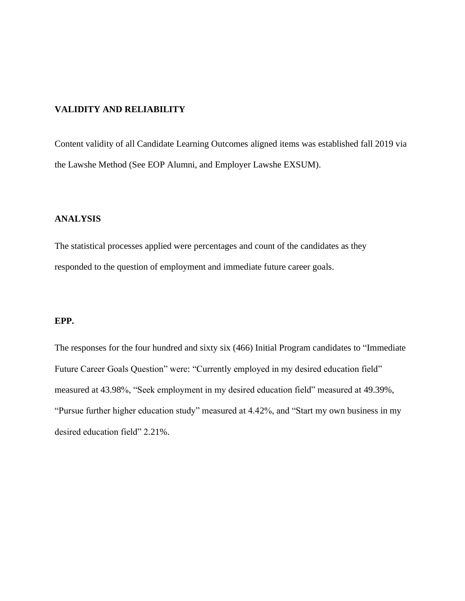# **VALIDITY AND RELIABILITY**

Content validity of all Candidate Learning Outcomes aligned items was established fall 2019 via the Lawshe Method (See EOP Alumni, and Employer Lawshe EXSUM).

## **ANALYSIS**

The statistical processes applied were percentages and count of the candidates as they responded to the question of employment and immediate future career goals.

# **EPP.**

The responses for the four hundred and sixty six (466) Initial Program candidates to "Immediate Future Career Goals Question" were: "Currently employed in my desired education field" measured at 43.98%, "Seek employment in my desired education field" measured at 49.39%, "Pursue further higher education study" measured at 4.42%, and "Start my own business in my desired education field" 2.21%.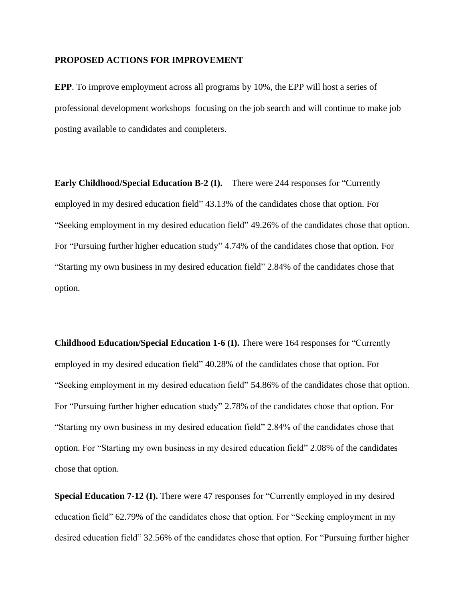### **PROPOSED ACTIONS FOR IMPROVEMENT**

**EPP**. To improve employment across all programs by 10%, the EPP will host a series of professional development workshops focusing on the job search and will continue to make job posting available to candidates and completers.

**Early Childhood/Special Education B-2 (I).** There were 244 responses for "Currently employed in my desired education field" 43.13% of the candidates chose that option. For "Seeking employment in my desired education field" 49.26% of the candidates chose that option. For "Pursuing further higher education study" 4.74% of the candidates chose that option. For "Starting my own business in my desired education field" 2.84% of the candidates chose that option.

**Childhood Education/Special Education 1-6 (I).** There were 164 responses for "Currently employed in my desired education field" 40.28% of the candidates chose that option. For "Seeking employment in my desired education field" 54.86% of the candidates chose that option. For "Pursuing further higher education study" 2.78% of the candidates chose that option. For "Starting my own business in my desired education field" 2.84% of the candidates chose that option. For "Starting my own business in my desired education field" 2.08% of the candidates chose that option.

**Special Education 7-12 (I).** There were 47 responses for "Currently employed in my desired education field" 62.79% of the candidates chose that option. For "Seeking employment in my desired education field" 32.56% of the candidates chose that option. For "Pursuing further higher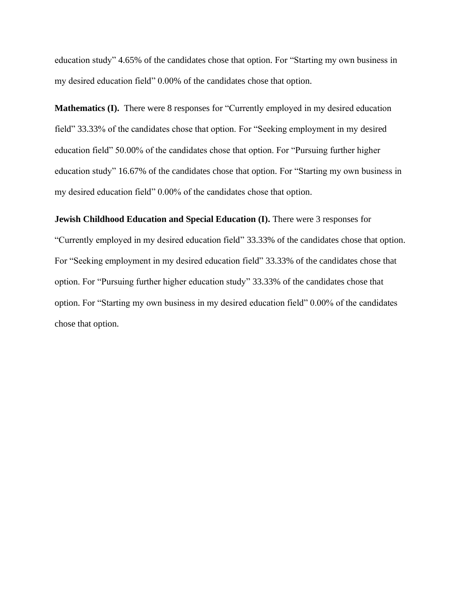education study" 4.65% of the candidates chose that option. For "Starting my own business in my desired education field" 0.00% of the candidates chose that option.

**Mathematics (I).** There were 8 responses for "Currently employed in my desired education field" 33.33% of the candidates chose that option. For "Seeking employment in my desired education field" 50.00% of the candidates chose that option. For "Pursuing further higher education study" 16.67% of the candidates chose that option. For "Starting my own business in my desired education field" 0.00% of the candidates chose that option.

#### **Jewish Childhood Education and Special Education (I).** There were 3 responses for

"Currently employed in my desired education field" 33.33% of the candidates chose that option. For "Seeking employment in my desired education field" 33.33% of the candidates chose that option. For "Pursuing further higher education study" 33.33% of the candidates chose that option. For "Starting my own business in my desired education field" 0.00% of the candidates chose that option.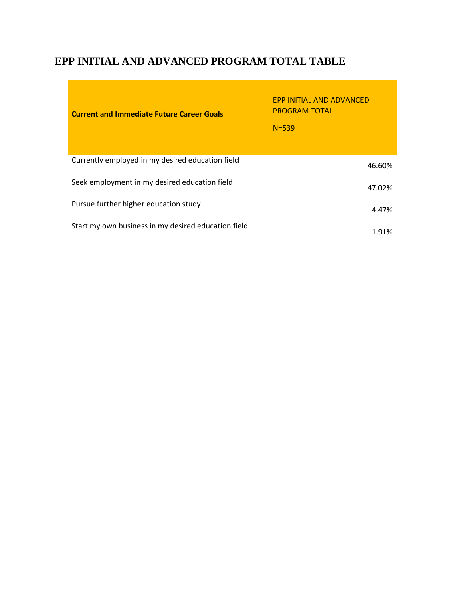# **EPP INITIAL AND ADVANCED PROGRAM TOTAL TABLE**

| <b>Current and Immediate Future Career Goals</b>    | <b>FPP INITIAL AND ADVANCED</b><br><b>PROGRAM TOTAL</b><br>$N = 539$ |
|-----------------------------------------------------|----------------------------------------------------------------------|
| Currently employed in my desired education field    | 46.60%                                                               |
| Seek employment in my desired education field       | 47.02%                                                               |
| Pursue further higher education study               | 4.47%                                                                |
| Start my own business in my desired education field | 1.91%                                                                |